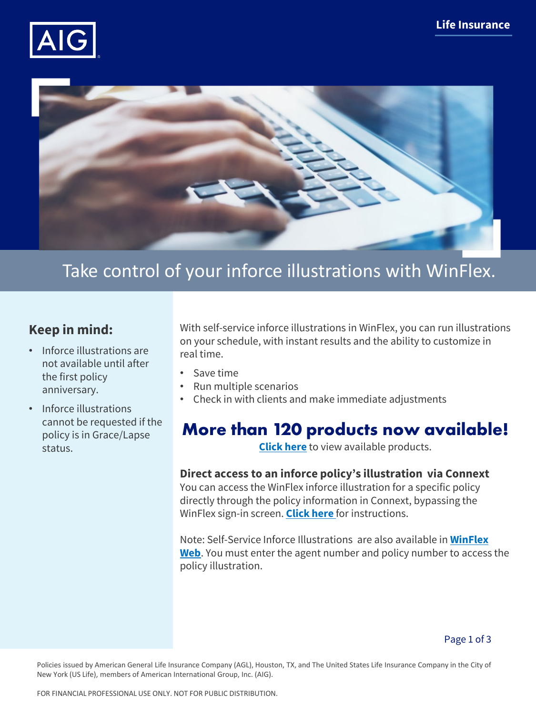



# Take control of your inforce illustrations with WinFlex.

## **Keep in mind:**

- Inforce illustrations are not available until after the first policy anniversary.
- Inforce illustrations cannot be requested if the policy is in Grace/Lapse status.

With self-service inforce illustrations in WinFlex, you can run illustrations on your schedule, with instant results and the ability to customize in real time.

- Save time
- Run multiple scenarios
- Check in with clients and make immediate adjustments

# **More than 120 products now available!**

**[Click here](#page-2-0)** to view available products.

## **Direct access to an inforce policy's illustration via Connext**

You can access the WinFlex inforce illustration for a specific policy directly through the policy information in Connext, bypassing the WinFlex sign-in screen. **[Click here](#page-1-0)** for instructions.

Note: Self-Service Inforce Illustrations are also available in **[WinFlex](https://www.winflexweb.com/)  [Web](https://www.winflexweb.com/)**. You must enter the agent number and policy number to access the policy illustration.

Policies issued by American General Life Insurance Company (AGL), Houston, TX, and The United States Life Insurance Company in the City of New York (US Life), members of American International Group, Inc. (AIG).

FOR FINANCIAL PROFESSIONAL USE ONLY. NOT FOR PUBLIC DISTRIBUTION.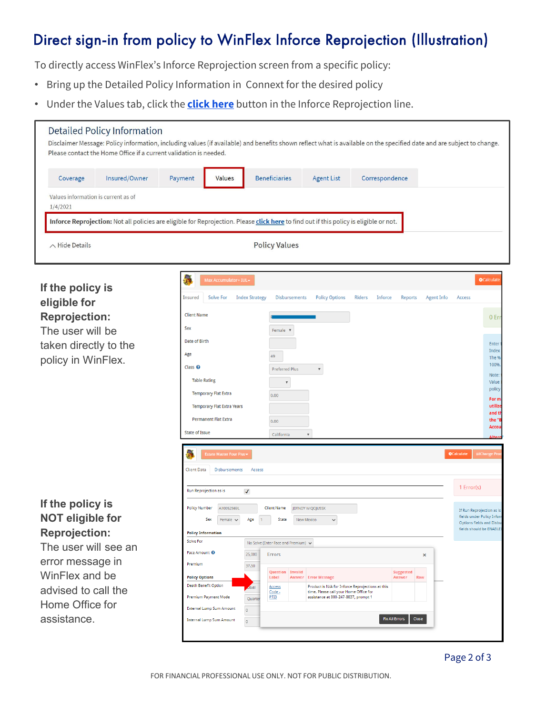# <span id="page-1-0"></span>Direct sign-in from policy to WinFlex Inforce Reprojection (Illustration)

To directly access WinFlex's Inforce Reprojection screen from a specific policy:

- Bring up the Detailed Policy Information in Connext for the desired policy
- Under the Values tab, click the **click here** button in the Inforce Reprojection line.

| Coverage                                                                | Insured/Owner                                                                                                                          | Payment                                                                       | Values                                                                                                                                          |         | <b>Beneficiaries</b>                             |                 | <b>Agent List</b>                                                                                                         | Correspondence                 |                  |                          |                                                        |
|-------------------------------------------------------------------------|----------------------------------------------------------------------------------------------------------------------------------------|-------------------------------------------------------------------------------|-------------------------------------------------------------------------------------------------------------------------------------------------|---------|--------------------------------------------------|-----------------|---------------------------------------------------------------------------------------------------------------------------|--------------------------------|------------------|--------------------------|--------------------------------------------------------|
| Values information is current as of                                     |                                                                                                                                        |                                                                               |                                                                                                                                                 |         |                                                  |                 |                                                                                                                           |                                |                  |                          |                                                        |
| 1/4/2021                                                                |                                                                                                                                        |                                                                               |                                                                                                                                                 |         |                                                  |                 |                                                                                                                           |                                |                  |                          |                                                        |
|                                                                         | Inforce Reprojection: Not all policies are eligible for Reprojection. Please click here to find out if this policy is eligible or not. |                                                                               |                                                                                                                                                 |         |                                                  |                 |                                                                                                                           |                                |                  |                          |                                                        |
| $\wedge$ Hide Details                                                   |                                                                                                                                        |                                                                               |                                                                                                                                                 |         | <b>Policy Values</b>                             |                 |                                                                                                                           |                                |                  |                          |                                                        |
|                                                                         |                                                                                                                                        | 學                                                                             | Max Accumulator+ IUL                                                                                                                            |         |                                                  |                 |                                                                                                                           |                                |                  |                          | <b>O</b> Calculat                                      |
| If the policy is<br>eligible for                                        |                                                                                                                                        | Insured                                                                       | Solve For<br><b>Index Strategy</b><br><b>Policy Options</b><br><b>Disbursements</b><br>Riders<br><b>Inforce</b><br>Reports<br><b>Agent Info</b> |         |                                                  |                 |                                                                                                                           |                                |                  | Access                   |                                                        |
| <b>Reprojection:</b>                                                    |                                                                                                                                        | <b>Client Name</b>                                                            |                                                                                                                                                 |         |                                                  |                 |                                                                                                                           |                                |                  |                          | 0 <sub>Er</sub>                                        |
| The user will be                                                        |                                                                                                                                        | Sex                                                                           | Date of Birth                                                                                                                                   |         |                                                  | Female <b>v</b> |                                                                                                                           |                                |                  |                          |                                                        |
| taken directly to the                                                   |                                                                                                                                        |                                                                               |                                                                                                                                                 |         |                                                  |                 |                                                                                                                           |                                |                  |                          | Enter<br>Index                                         |
| policy in WinFlex.                                                      |                                                                                                                                        | Age<br>Class <sup>O</sup><br><b>Table Rating</b>                              |                                                                                                                                                 |         | 49                                               |                 |                                                                                                                           |                                |                  |                          | The 9<br>100%                                          |
|                                                                         |                                                                                                                                        |                                                                               |                                                                                                                                                 |         | <b>Preferred Plus</b><br>$\overline{\mathbf{v}}$ |                 | $\pmb{\mathbb{v}}$                                                                                                        |                                |                  |                          | Note:<br>Value                                         |
|                                                                         |                                                                                                                                        | <b>Temporary Flat Extra</b>                                                   |                                                                                                                                                 |         | 0.00                                             |                 |                                                                                                                           |                                |                  |                          | policy                                                 |
|                                                                         |                                                                                                                                        |                                                                               | <b>Temporary Flat Extra Years</b>                                                                                                               |         |                                                  |                 |                                                                                                                           |                                |                  |                          | For m<br>utiliz<br>and t                               |
|                                                                         |                                                                                                                                        | Permanent Flat Extra                                                          |                                                                                                                                                 |         | 0.00                                             |                 |                                                                                                                           |                                |                  |                          | the'<br>Accor                                          |
|                                                                         |                                                                                                                                        | <b>State of Issue</b>                                                         |                                                                                                                                                 |         | California                                       |                 |                                                                                                                           |                                |                  |                          | <b>Δlte</b>                                            |
|                                                                         |                                                                                                                                        | <b>C</b> alculate<br>紧<br>Change Pr<br><b>Estate Master Four Plus</b>         |                                                                                                                                                 |         |                                                  |                 |                                                                                                                           |                                |                  |                          |                                                        |
|                                                                         |                                                                                                                                        | <b>Client Data</b>                                                            | Disbursements                                                                                                                                   | Access  |                                                  |                 |                                                                                                                           |                                |                  |                          |                                                        |
|                                                                         |                                                                                                                                        |                                                                               | Run Reprojection as is<br>$\checkmark$                                                                                                          |         |                                                  |                 |                                                                                                                           |                                |                  |                          |                                                        |
| If the policy is                                                        |                                                                                                                                        | <b>Policy Number</b>                                                          | A10052569L                                                                                                                                      |         | <b>Client Name</b>                               |                 | JDTNDY W QOJUSSX                                                                                                          |                                |                  |                          | If Run Reprojection as is                              |
| <b>NOT eligible for</b><br><b>Reprojection:</b><br>The user will see an |                                                                                                                                        | Sex                                                                           | State<br>Age<br>New Mexico<br>Female $\vee$<br>$\checkmark$                                                                                     |         |                                                  |                 |                                                                                                                           |                                |                  |                          | fields under Policy Inform<br>Options fields and Disbu |
|                                                                         |                                                                                                                                        | <b>Policy Information</b><br>Solve For<br>No Solve (Enter Face and Premium) v |                                                                                                                                                 |         |                                                  |                 |                                                                                                                           |                                |                  | fields should be ENABLEI |                                                        |
|                                                                         |                                                                                                                                        |                                                                               | Face Amount <sup>O</sup><br>25,000                                                                                                              |         | Errors                                           |                 |                                                                                                                           |                                | ×                |                          |                                                        |
| error message in<br>WinFlex and be                                      |                                                                                                                                        | Premium                                                                       |                                                                                                                                                 | 37.50   | <b>Question</b> Invalid                          |                 |                                                                                                                           |                                | <b>Suggested</b> |                          |                                                        |
| advised to call the                                                     |                                                                                                                                        | <b>Policy Options</b><br><b>Death Benefit Option</b>                          |                                                                                                                                                 | evel    | Label<br><b>Access</b><br>Code -                 |                 | <b>Answer Error Message</b><br>Product is N/A for Inforce Reprojections at this<br>time. Please call your Home Office for |                                | Answer<br>Row    |                          |                                                        |
| Home Office for                                                         |                                                                                                                                        | <b>Premium Payment Mode</b><br><b>External Lump Sum Amount</b>                |                                                                                                                                                 | Quarter | PTIB                                             |                 | assistance at 800-247-8837, prompt 1                                                                                      |                                |                  |                          |                                                        |
| assistance.                                                             |                                                                                                                                        | <b>Internal Lump Sum Amount</b>                                               | $\pmb{\mathsf{o}}$<br>$\pmb{\mathsf{o}}$                                                                                                        |         |                                                  |                 |                                                                                                                           | <b>Fix All Errors</b><br>Close |                  |                          |                                                        |